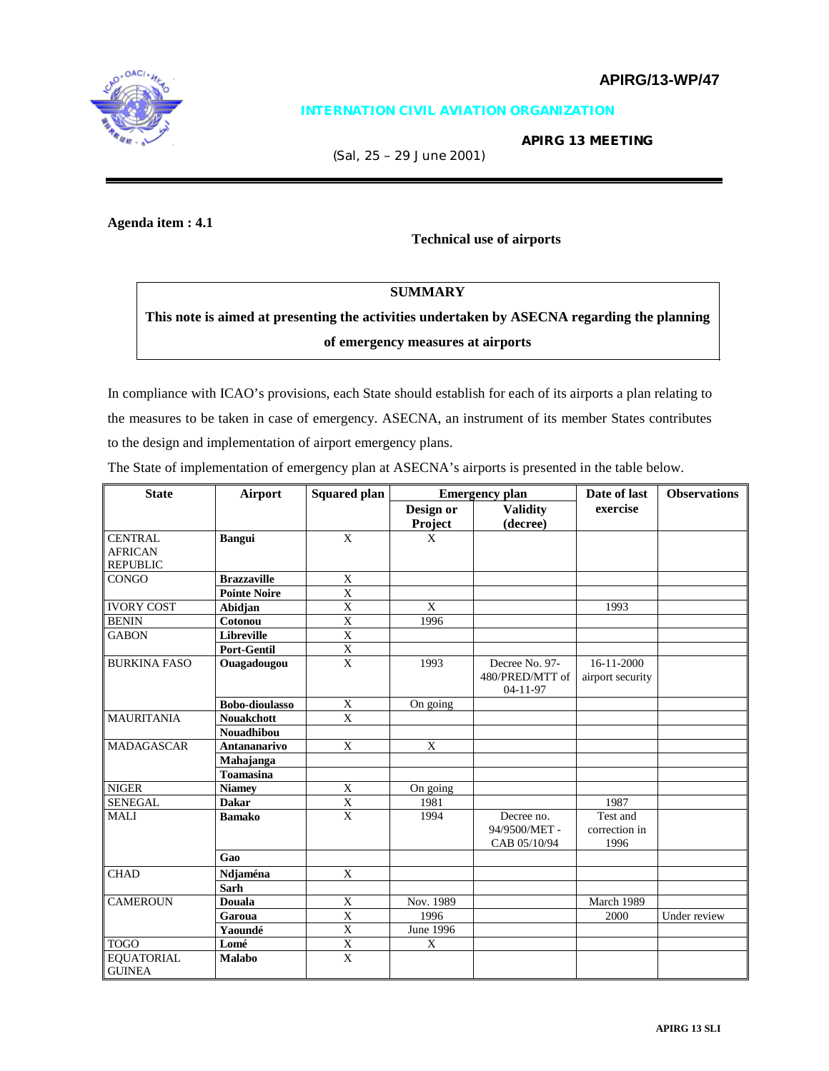

## **INTERNATION CIVIL AVIATION ORGANIZATION**

 **APIRG 13 MEETING** 

(Sal, 25 – 29 June 2001)

# **Agenda item : 4.1**

**Technical use of airports** 

# **SUMMARY**

**This note is aimed at presenting the activities undertaken by ASECNA regarding the planning of emergency measures at airports** 

In compliance with ICAO's provisions, each State should establish for each of its airports a plan relating to the measures to be taken in case of emergency. ASECNA, an instrument of its member States contributes to the design and implementation of airport emergency plans.

The State of implementation of emergency plan at ASECNA's airports is presented in the table below.

| <b>State</b>        | <b>Airport</b>        | <b>Squared plan</b> |                  | <b>Emergency plan</b> | Date of last     | <b>Observations</b> |
|---------------------|-----------------------|---------------------|------------------|-----------------------|------------------|---------------------|
|                     |                       |                     | Design or        | <b>Validity</b>       | exercise         |                     |
|                     |                       |                     | Project          | (decree)              |                  |                     |
| <b>CENTRAL</b>      | <b>Bangui</b>         | X                   | X                |                       |                  |                     |
| <b>AFRICAN</b>      |                       |                     |                  |                       |                  |                     |
| <b>REPUBLIC</b>     |                       |                     |                  |                       |                  |                     |
| <b>CONGO</b>        | <b>Brazzaville</b>    | X                   |                  |                       |                  |                     |
|                     | <b>Pointe Noire</b>   | X                   |                  |                       |                  |                     |
| <b>IVORY COST</b>   | Abidjan               | $\mathbf X$         | X                |                       | 1993             |                     |
| <b>BENIN</b>        | Cotonou               | $\mathbf X$         | 1996             |                       |                  |                     |
| <b>GABON</b>        | <b>Libreville</b>     | X                   |                  |                       |                  |                     |
|                     | <b>Port-Gentil</b>    | X                   |                  |                       |                  |                     |
| <b>BURKINA FASO</b> | Ouagadougou           | $\mathbf{X}$        | 1993             | Decree No. 97-        | 16-11-2000       |                     |
|                     |                       |                     |                  | 480/PRED/MTT of       | airport security |                     |
|                     |                       |                     |                  | 04-11-97              |                  |                     |
|                     | <b>Bobo-dioulasso</b> | $\mathbf X$         | On going         |                       |                  |                     |
| <b>MAURITANIA</b>   | <b>Nouakchott</b>     | X                   |                  |                       |                  |                     |
|                     | <b>Nouadhibou</b>     |                     |                  |                       |                  |                     |
| <b>MADAGASCAR</b>   | Antananarivo          | X                   | $\mathbf X$      |                       |                  |                     |
|                     | Mahajanga             |                     |                  |                       |                  |                     |
|                     | <b>Toamasina</b>      |                     |                  |                       |                  |                     |
| <b>NIGER</b>        | <b>Niamey</b>         | X                   | On going         |                       |                  |                     |
| <b>SENEGAL</b>      | <b>Dakar</b>          | $\overline{X}$      | 1981             |                       | 1987             |                     |
| <b>MALI</b>         | <b>Bamako</b>         | $\overline{X}$      | 1994             | Decree no.            | Test and         |                     |
|                     |                       |                     |                  | 94/9500/MET -         | correction in    |                     |
|                     |                       |                     |                  | CAB 05/10/94          | 1996             |                     |
|                     | Gao                   |                     |                  |                       |                  |                     |
| <b>CHAD</b>         | Ndjaména              | X                   |                  |                       |                  |                     |
|                     | <b>Sarh</b>           |                     |                  |                       |                  |                     |
| <b>CAMEROUN</b>     | <b>Douala</b>         | X                   | Nov. 1989        |                       | March 1989       |                     |
|                     | Garoua                | X                   | 1996             |                       | 2000             | Under review        |
|                     | Yaoundé               | $\overline{X}$      | <b>June 1996</b> |                       |                  |                     |
| <b>TOGO</b>         | Lomé                  | $\mathbf X$         | X                |                       |                  |                     |
| <b>EQUATORIAL</b>   | <b>Malabo</b>         | $\mathbf{X}$        |                  |                       |                  |                     |
| <b>GUINEA</b>       |                       |                     |                  |                       |                  |                     |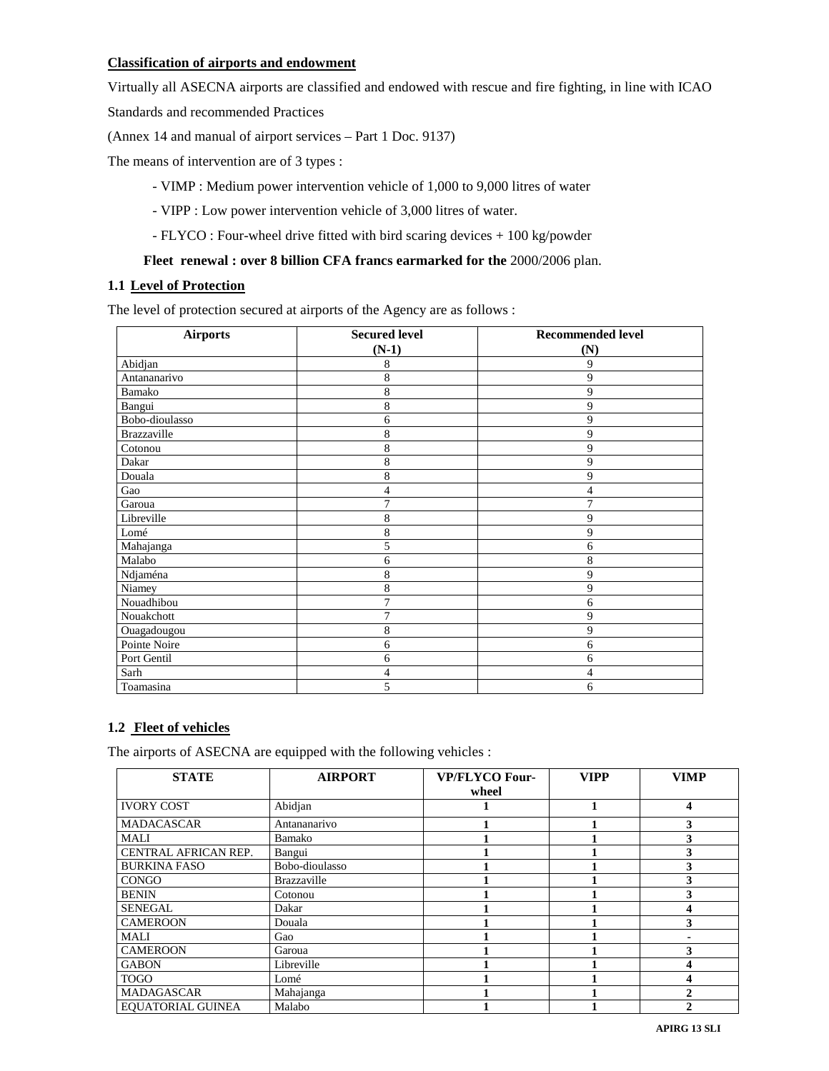## **Classification of airports and endowment**

Virtually all ASECNA airports are classified and endowed with rescue and fire fighting, in line with ICAO

Standards and recommended Practices

(Annex 14 and manual of airport services – Part 1 Doc. 9137)

The means of intervention are of 3 types :

- VIMP : Medium power intervention vehicle of 1,000 to 9,000 litres of water
- VIPP : Low power intervention vehicle of 3,000 litres of water.
- FLYCO : Four-wheel drive fitted with bird scaring devices + 100 kg/powder

#### **Fleet renewal : over 8 billion CFA francs earmarked for the** 2000/2006 plan.

## **1.1 Level of Protection**

The level of protection secured at airports of the Agency are as follows :

| <b>Airports</b> | <b>Secured level</b><br>$(N-1)$ | <b>Recommended level</b> |  |
|-----------------|---------------------------------|--------------------------|--|
| Abidjan         | 8                               | (N)<br>9                 |  |
| Antananarivo    | 8                               | 9                        |  |
|                 |                                 |                          |  |
| Bamako          | 8                               | 9                        |  |
| Bangui          | 8                               | 9                        |  |
| Bobo-dioulasso  | 6                               | 9                        |  |
| Brazzaville     | 8                               | 9                        |  |
| Cotonou         | 8                               | 9                        |  |
| Dakar           | 8                               | 9                        |  |
| Douala          | 8                               | 9                        |  |
| Gao             | $\overline{4}$                  | 4                        |  |
| Garoua          | 7                               | 7                        |  |
| Libreville      | 8                               | 9                        |  |
| Lomé            | 8                               | 9                        |  |
| Mahajanga       | 5                               | 6                        |  |
| Malabo          | 6                               | 8                        |  |
| Ndjaména        | 8                               | 9                        |  |
| Niamey          | 8                               | 9                        |  |
| Nouadhibou      | 7                               | 6                        |  |
| Nouakchott      | 7                               | 9                        |  |
| Ouagadougou     | 8                               | 9                        |  |
| Pointe Noire    | 6                               | 6                        |  |
| Port Gentil     | 6                               | 6                        |  |
| Sarh            | 4                               | 4                        |  |
| Toamasina       | 5                               | 6                        |  |

## **1.2 Fleet of vehicles**

The airports of ASECNA are equipped with the following vehicles :

| <b>STATE</b>             | <b>AIRPORT</b>     | <b>VP/FLYCO Four-</b><br>wheel | <b>VIPP</b> | <b>VIMP</b> |
|--------------------------|--------------------|--------------------------------|-------------|-------------|
| <b>IVORY COST</b>        | Abidjan            |                                |             |             |
| <b>MADACASCAR</b>        | Antananarivo       |                                |             |             |
| MALI                     | Bamako             |                                |             |             |
| CENTRAL AFRICAN REP.     | Bangui             |                                |             |             |
| <b>BURKINA FASO</b>      | Bobo-dioulasso     |                                |             |             |
| <b>CONGO</b>             | <b>Brazzaville</b> |                                |             |             |
| <b>BENIN</b>             | Cotonou            |                                |             |             |
| <b>SENEGAL</b>           | Dakar              |                                |             |             |
| <b>CAMEROON</b>          | Douala             |                                |             |             |
| <b>MALI</b>              | Gao                |                                |             |             |
| <b>CAMEROON</b>          | Garoua             |                                |             |             |
| <b>GABON</b>             | Libreville         |                                |             |             |
| <b>TOGO</b>              | Lomé               |                                |             |             |
| <b>MADAGASCAR</b>        | Mahajanga          |                                |             |             |
| <b>EOUATORIAL GUINEA</b> | Malabo             |                                |             |             |